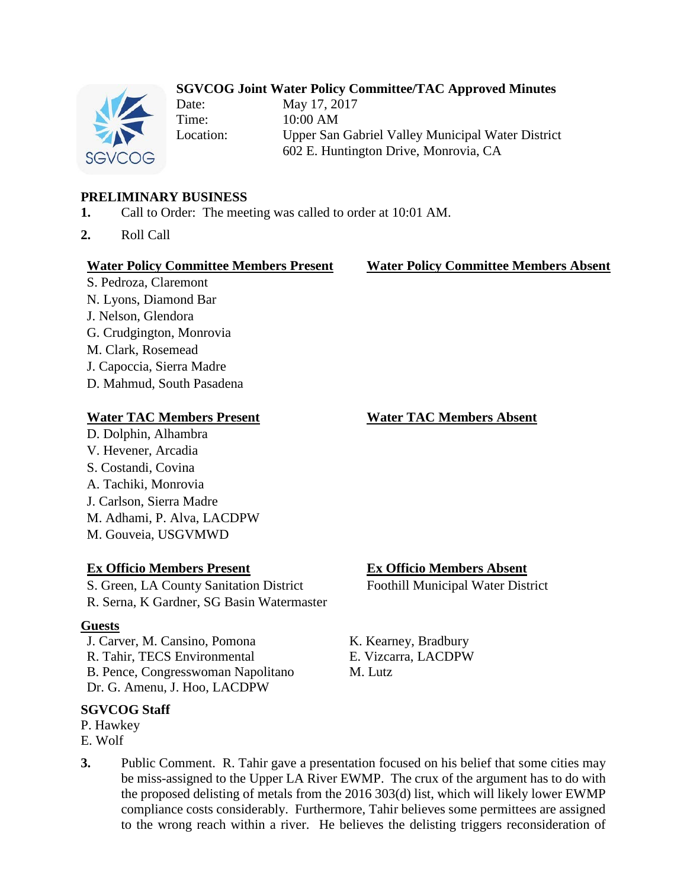# **SGVCOG Joint Water Policy Committee/TAC Approved Minutes**



Date: May 17, 2017 Time: 10:00 AM Location: Upper San Gabriel Valley Municipal Water District 602 E. Huntington Drive, Monrovia, CA

# **PRELIMINARY BUSINESS**

- **1.** Call to Order: The meeting was called to order at 10:01 AM.
- **2.** Roll Call

#### **Water Policy Committee Members Present Water Policy Committee Members Absent**

S. Pedroza, Claremont N. Lyons, Diamond Bar J. Nelson, Glendora G. Crudgington, Monrovia M. Clark, Rosemead J. Capoccia, Sierra Madre D. Mahmud, South Pasadena

#### **Water TAC Members Present Water TAC Members Absent**

D. Dolphin, Alhambra V. Hevener, Arcadia S. Costandi, Covina A. Tachiki, Monrovia J. Carlson, Sierra Madre M. Adhami, P. Alva, LACDPW M. Gouveia, USGVMWD

S. Green, LA County Sanitation District Foothill Municipal Water District R. Serna, K Gardner, SG Basin Watermaster

#### **Guests**

J. Carver, M. Cansino, Pomona K. Kearney, Bradbury R. Tahir, TECS Environmental E. Vizcarra, LACDPW B. Pence, Congresswoman Napolitano M. Lutz Dr. G. Amenu, J. Hoo, LACDPW

# **SGVCOG Staff**

- P. Hawkey
- E. Wolf

**Ex Officio Members Present Ex Officio Members Absent**

**3.** Public Comment. R. Tahir gave a presentation focused on his belief that some cities may be miss-assigned to the Upper LA River EWMP. The crux of the argument has to do with the proposed delisting of metals from the 2016 303(d) list, which will likely lower EWMP compliance costs considerably. Furthermore, Tahir believes some permittees are assigned to the wrong reach within a river. He believes the delisting triggers reconsideration of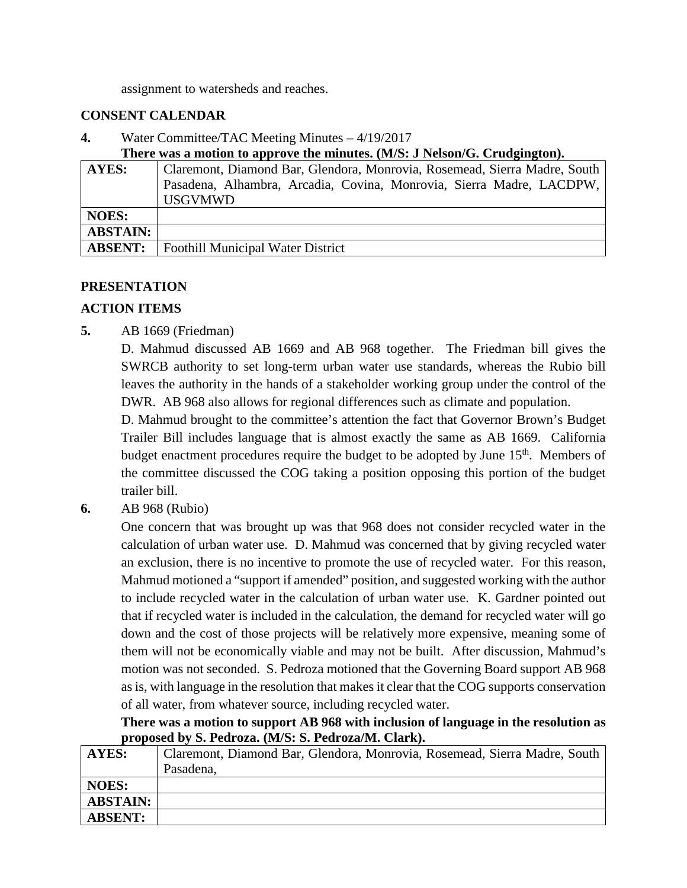assignment to watersheds and reaches.

### **CONSENT CALENDAR**

**4.** Water Committee/TAC Meeting Minutes – 4/19/2017

**There was a motion to approve the minutes. (M/S: J Nelson/G. Crudgington).**

| AYES:           | Claremont, Diamond Bar, Glendora, Monrovia, Rosemead, Sierra Madre, South              |
|-----------------|----------------------------------------------------------------------------------------|
|                 | Pasadena, Alhambra, Arcadia, Covina, Monrovia, Sierra Madre, LACDPW,<br><b>USGVMWD</b> |
|                 |                                                                                        |
| <b>NOES:</b>    |                                                                                        |
| <b>ABSTAIN:</b> |                                                                                        |
| <b>ABSENT:</b>  | <b>Foothill Municipal Water District</b>                                               |

### **PRESENTATION**

# **ACTION ITEMS**

**5.** AB 1669 (Friedman)

D. Mahmud discussed AB 1669 and AB 968 together. The Friedman bill gives the SWRCB authority to set long-term urban water use standards, whereas the Rubio bill leaves the authority in the hands of a stakeholder working group under the control of the DWR. AB 968 also allows for regional differences such as climate and population.

D. Mahmud brought to the committee's attention the fact that Governor Brown's Budget Trailer Bill includes language that is almost exactly the same as AB 1669. California budget enactment procedures require the budget to be adopted by June  $15<sup>th</sup>$ . Members of the committee discussed the COG taking a position opposing this portion of the budget trailer bill.

**6.** AB 968 (Rubio)

One concern that was brought up was that 968 does not consider recycled water in the calculation of urban water use. D. Mahmud was concerned that by giving recycled water an exclusion, there is no incentive to promote the use of recycled water. For this reason, Mahmud motioned a "support if amended" position, and suggested working with the author to include recycled water in the calculation of urban water use. K. Gardner pointed out that if recycled water is included in the calculation, the demand for recycled water will go down and the cost of those projects will be relatively more expensive, meaning some of them will not be economically viable and may not be built. After discussion, Mahmud's motion was not seconded. S. Pedroza motioned that the Governing Board support AB 968 as is, with language in the resolution that makes it clear that the COG supports conservation of all water, from whatever source, including recycled water.

**There was a motion to support AB 968 with inclusion of language in the resolution as proposed by S. Pedroza. (M/S: S. Pedroza/M. Clark).**

| AYES:           | Claremont, Diamond Bar, Glendora, Monrovia, Rosemead, Sierra Madre, South |
|-----------------|---------------------------------------------------------------------------|
|                 | Pasadena,                                                                 |
| <b>NOES:</b>    |                                                                           |
| <b>ABSTAIN:</b> |                                                                           |
| <b>ABSENT:</b>  |                                                                           |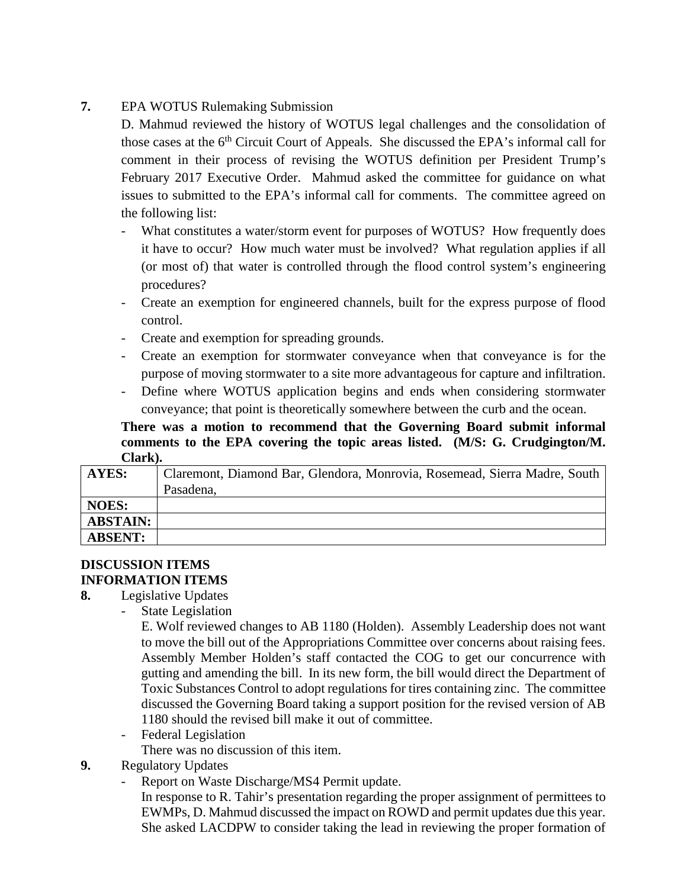# **7.** EPA WOTUS Rulemaking Submission

D. Mahmud reviewed the history of WOTUS legal challenges and the consolidation of those cases at the 6<sup>th</sup> Circuit Court of Appeals. She discussed the EPA's informal call for comment in their process of revising the WOTUS definition per President Trump's February 2017 Executive Order. Mahmud asked the committee for guidance on what issues to submitted to the EPA's informal call for comments. The committee agreed on the following list:

- What constitutes a water/storm event for purposes of WOTUS? How frequently does it have to occur? How much water must be involved? What regulation applies if all (or most of) that water is controlled through the flood control system's engineering procedures?
- Create an exemption for engineered channels, built for the express purpose of flood control.
- Create and exemption for spreading grounds.
- Create an exemption for stormwater conveyance when that conveyance is for the purpose of moving stormwater to a site more advantageous for capture and infiltration.
- Define where WOTUS application begins and ends when considering stormwater conveyance; that point is theoretically somewhere between the curb and the ocean.

**There was a motion to recommend that the Governing Board submit informal comments to the EPA covering the topic areas listed. (M/S: G. Crudgington/M. Clark).**

| AYES:           | Claremont, Diamond Bar, Glendora, Monrovia, Rosemead, Sierra Madre, South |
|-----------------|---------------------------------------------------------------------------|
|                 | Pasadena,                                                                 |
| <b>NOES:</b>    |                                                                           |
| <b>ABSTAIN:</b> |                                                                           |
| <b>ABSENT:</b>  |                                                                           |

# **DISCUSSION ITEMS INFORMATION ITEMS**

- **8.** Legislative Updates
	- State Legislation

E. Wolf reviewed changes to AB 1180 (Holden). Assembly Leadership does not want to move the bill out of the Appropriations Committee over concerns about raising fees. Assembly Member Holden's staff contacted the COG to get our concurrence with gutting and amending the bill. In its new form, the bill would direct the Department of Toxic Substances Control to adopt regulations for tires containing zinc. The committee discussed the Governing Board taking a support position for the revised version of AB 1180 should the revised bill make it out of committee.

- Federal Legislation

There was no discussion of this item.

# **9.** Regulatory Updates

Report on Waste Discharge/MS4 Permit update.

In response to R. Tahir's presentation regarding the proper assignment of permittees to EWMPs, D. Mahmud discussed the impact on ROWD and permit updates due this year. She asked LACDPW to consider taking the lead in reviewing the proper formation of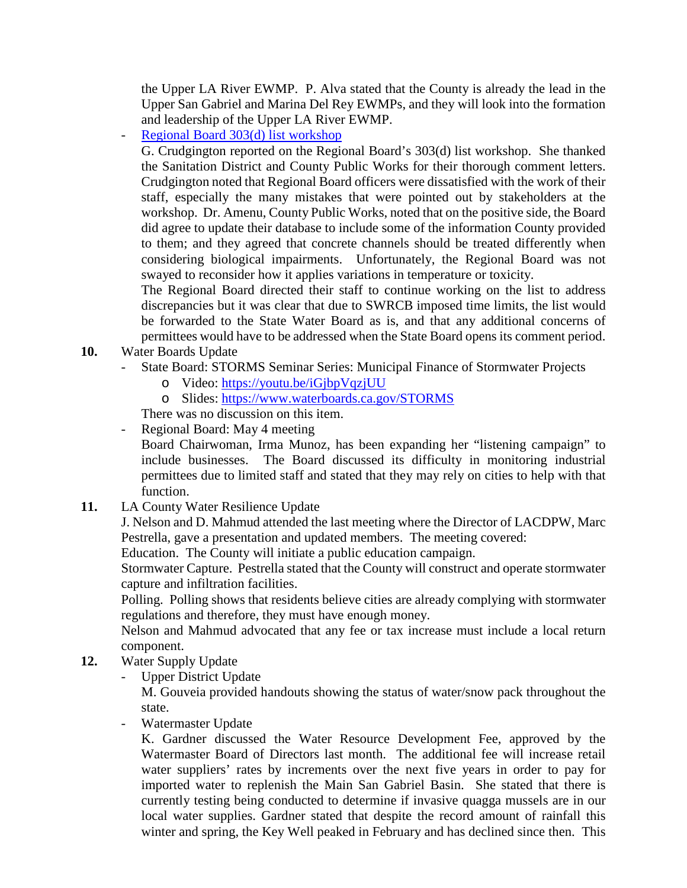the Upper LA River EWMP. P. Alva stated that the County is already the lead in the Upper San Gabriel and Marina Del Rey EWMPs, and they will look into the formation and leadership of the Upper LA River EWMP.

- [Regional Board 303\(d\) list workshop](http://www.waterboards.ca.gov/losangeles/water_issues/programs/303d/2016/2016_303d.shtml)

G. Crudgington reported on the Regional Board's 303(d) list workshop. She thanked the Sanitation District and County Public Works for their thorough comment letters. Crudgington noted that Regional Board officers were dissatisfied with the work of their staff, especially the many mistakes that were pointed out by stakeholders at the workshop. Dr. Amenu, County Public Works, noted that on the positive side, the Board did agree to update their database to include some of the information County provided to them; and they agreed that concrete channels should be treated differently when considering biological impairments. Unfortunately, the Regional Board was not swayed to reconsider how it applies variations in temperature or toxicity.

The Regional Board directed their staff to continue working on the list to address discrepancies but it was clear that due to SWRCB imposed time limits, the list would be forwarded to the State Water Board as is, and that any additional concerns of permittees would have to be addressed when the State Board opens its comment period.

- **10.** Water Boards Update
	- State Board: STORMS Seminar Series: Municipal Finance of Stormwater Projects
		- o Video:<https://youtu.be/iGjbpVqzjUU>
		- o Slides:<https://www.waterboards.ca.gov/STORMS>

There was no discussion on this item.

- Regional Board: May 4 meeting

Board Chairwoman, Irma Munoz, has been expanding her "listening campaign" to include businesses. The Board discussed its difficulty in monitoring industrial permittees due to limited staff and stated that they may rely on cities to help with that function.

**11.** LA County Water Resilience Update

J. Nelson and D. Mahmud attended the last meeting where the Director of LACDPW, Marc Pestrella, gave a presentation and updated members. The meeting covered:

Education. The County will initiate a public education campaign.

Stormwater Capture. Pestrella stated that the County will construct and operate stormwater capture and infiltration facilities.

Polling. Polling shows that residents believe cities are already complying with stormwater regulations and therefore, they must have enough money.

Nelson and Mahmud advocated that any fee or tax increase must include a local return component.

- **12.** Water Supply Update
	- Upper District Update

M. Gouveia provided handouts showing the status of water/snow pack throughout the state.

Watermaster Update

K. Gardner discussed the Water Resource Development Fee, approved by the Watermaster Board of Directors last month. The additional fee will increase retail water suppliers' rates by increments over the next five years in order to pay for imported water to replenish the Main San Gabriel Basin. She stated that there is currently testing being conducted to determine if invasive quagga mussels are in our local water supplies. Gardner stated that despite the record amount of rainfall this winter and spring, the Key Well peaked in February and has declined since then. This